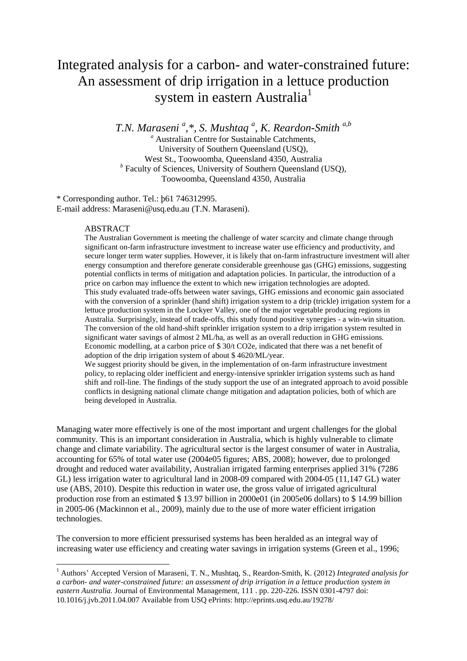# Integrated analysis for a carbon- and water-constrained future: An assessment of drip irrigation in a lettuce production system in eastern Australia<sup>1</sup>

*T.N. Maraseni <sup>a</sup> ,\*, S. Mushtaq <sup>a</sup> , K. Reardon-Smith a,b*

*<sup>a</sup>* Australian Centre for Sustainable Catchments, University of Southern Queensland (USQ), West St., Toowoomba, Queensland 4350, Australia *b* Faculty of Sciences, University of Southern Queensland (USQ), Toowoomba, Queensland 4350, Australia

\* Corresponding author. Tel.: þ61 746312995. E-mail address: Maraseni@usq.edu.au (T.N. Maraseni).

#### ABSTRACT

**.** 

The Australian Government is meeting the challenge of water scarcity and climate change through significant on-farm infrastructure investment to increase water use efficiency and productivity, and secure longer term water supplies. However, it is likely that on-farm infrastructure investment will alter energy consumption and therefore generate considerable greenhouse gas (GHG) emissions, suggesting potential conflicts in terms of mitigation and adaptation policies. In particular, the introduction of a price on carbon may influence the extent to which new irrigation technologies are adopted. This study evaluated trade-offs between water savings, GHG emissions and economic gain associated with the conversion of a sprinkler (hand shift) irrigation system to a drip (trickle) irrigation system for a lettuce production system in the Lockyer Valley, one of the major vegetable producing regions in Australia. Surprisingly, instead of trade-offs, this study found positive synergies - a win-win situation. The conversion of the old hand-shift sprinkler irrigation system to a drip irrigation system resulted in significant water savings of almost 2 ML/ha, as well as an overall reduction in GHG emissions. Economic modelling, at a carbon price of \$ 30/t CO2e, indicated that there was a net benefit of adoption of the drip irrigation system of about \$ 4620/ML/year.

We suggest priority should be given, in the implementation of on-farm infrastructure investment policy, to replacing older inefficient and energy-intensive sprinkler irrigation systems such as hand shift and roll-line. The findings of the study support the use of an integrated approach to avoid possible conflicts in designing national climate change mitigation and adaptation policies, both of which are being developed in Australia.

Managing water more effectively is one of the most important and urgent challenges for the global community. This is an important consideration in Australia, which is highly vulnerable to climate change and climate variability. The agricultural sector is the largest consumer of water in Australia, accounting for 65% of total water use (2004e05 figures; ABS, 2008); however, due to prolonged drought and reduced water availability, Australian irrigated farming enterprises applied 31% (7286 GL) less irrigation water to agricultural land in 2008-09 compared with 2004-05 (11,147 GL) water use (ABS, 2010). Despite this reduction in water use, the gross value of irrigated agricultural production rose from an estimated \$ 13.97 billion in 2000e01 (in 2005e06 dollars) to \$ 14.99 billion in 2005-06 (Mackinnon et al., 2009), mainly due to the use of more water efficient irrigation technologies.

The conversion to more efficient pressurised systems has been heralded as an integral way of increasing water use efficiency and creating water savings in irrigation systems (Green et al., 1996;

<sup>1</sup> Authors' Accepted Version of Maraseni, T. N., Mushtaq, S., Reardon-Smith, K. (2012) *Integrated analysis for a carbon- and water-constrained future: an assessment of drip irrigation in a lettuce production system in eastern Australia.* Journal of Environmental Management, 111 . pp. 220-226. ISSN 0301-4797 doi: 10.1016/j.jvb.2011.04.007 Available from USQ ePrints: http://eprints.usq.edu.au/19278/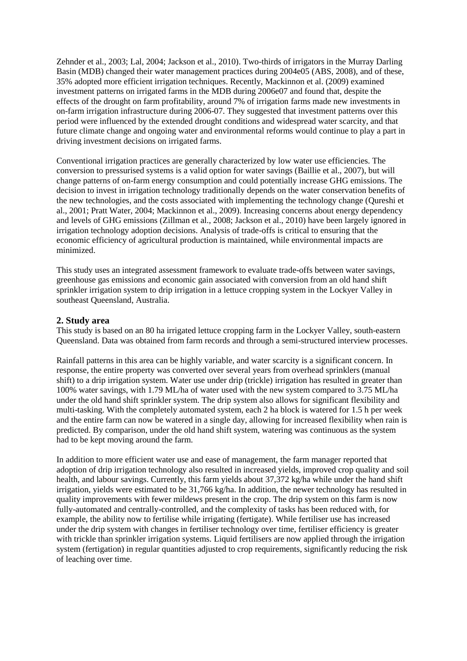Zehnder et al., 2003; Lal, 2004; Jackson et al., 2010). Two-thirds of irrigators in the Murray Darling Basin (MDB) changed their water management practices during 2004e05 (ABS, 2008), and of these, 35% adopted more efficient irrigation techniques. Recently, Mackinnon et al. (2009) examined investment patterns on irrigated farms in the MDB during 2006e07 and found that, despite the effects of the drought on farm profitability, around 7% of irrigation farms made new investments in on-farm irrigation infrastructure during 2006-07. They suggested that investment patterns over this period were influenced by the extended drought conditions and widespread water scarcity, and that future climate change and ongoing water and environmental reforms would continue to play a part in driving investment decisions on irrigated farms.

Conventional irrigation practices are generally characterized by low water use efficiencies. The conversion to pressurised systems is a valid option for water savings (Baillie et al., 2007), but will change patterns of on-farm energy consumption and could potentially increase GHG emissions. The decision to invest in irrigation technology traditionally depends on the water conservation benefits of the new technologies, and the costs associated with implementing the technology change (Qureshi et al., 2001; Pratt Water, 2004; Mackinnon et al., 2009). Increasing concerns about energy dependency and levels of GHG emissions (Zillman et al., 2008; Jackson et al., 2010) have been largely ignored in irrigation technology adoption decisions. Analysis of trade-offs is critical to ensuring that the economic efficiency of agricultural production is maintained, while environmental impacts are minimized.

This study uses an integrated assessment framework to evaluate trade-offs between water savings, greenhouse gas emissions and economic gain associated with conversion from an old hand shift sprinkler irrigation system to drip irrigation in a lettuce cropping system in the Lockyer Valley in southeast Queensland, Australia.

#### **2. Study area**

This study is based on an 80 ha irrigated lettuce cropping farm in the Lockyer Valley, south-eastern Queensland. Data was obtained from farm records and through a semi-structured interview processes.

Rainfall patterns in this area can be highly variable, and water scarcity is a significant concern. In response, the entire property was converted over several years from overhead sprinklers (manual shift) to a drip irrigation system. Water use under drip (trickle) irrigation has resulted in greater than 100% water savings, with 1.79 ML/ha of water used with the new system compared to 3.75 ML/ha under the old hand shift sprinkler system. The drip system also allows for significant flexibility and multi-tasking. With the completely automated system, each 2 ha block is watered for 1.5 h per week and the entire farm can now be watered in a single day, allowing for increased flexibility when rain is predicted. By comparison, under the old hand shift system, watering was continuous as the system had to be kept moving around the farm.

In addition to more efficient water use and ease of management, the farm manager reported that adoption of drip irrigation technology also resulted in increased yields, improved crop quality and soil health, and labour savings. Currently, this farm yields about 37,372 kg/ha while under the hand shift irrigation, yields were estimated to be 31,766 kg/ha. In addition, the newer technology has resulted in quality improvements with fewer mildews present in the crop. The drip system on this farm is now fully-automated and centrally-controlled, and the complexity of tasks has been reduced with, for example, the ability now to fertilise while irrigating (fertigate). While fertiliser use has increased under the drip system with changes in fertiliser technology over time, fertiliser efficiency is greater with trickle than sprinkler irrigation systems. Liquid fertilisers are now applied through the irrigation system (fertigation) in regular quantities adjusted to crop requirements, significantly reducing the risk of leaching over time.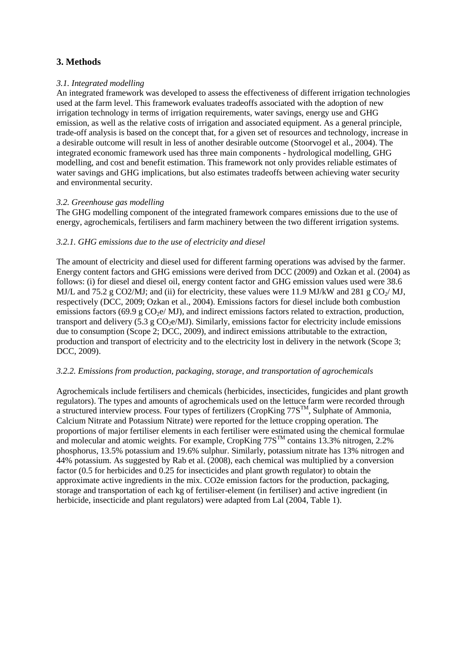## **3. Methods**

## *3.1. Integrated modelling*

An integrated framework was developed to assess the effectiveness of different irrigation technologies used at the farm level. This framework evaluates tradeoffs associated with the adoption of new irrigation technology in terms of irrigation requirements, water savings, energy use and GHG emission, as well as the relative costs of irrigation and associated equipment. As a general principle, trade-off analysis is based on the concept that, for a given set of resources and technology, increase in a desirable outcome will result in less of another desirable outcome (Stoorvogel et al., 2004). The integrated economic framework used has three main components - hydrological modelling, GHG modelling, and cost and benefit estimation. This framework not only provides reliable estimates of water savings and GHG implications, but also estimates tradeoffs between achieving water security and environmental security.

## *3.2. Greenhouse gas modelling*

The GHG modelling component of the integrated framework compares emissions due to the use of energy, agrochemicals, fertilisers and farm machinery between the two different irrigation systems.

## *3.2.1. GHG emissions due to the use of electricity and diesel*

The amount of electricity and diesel used for different farming operations was advised by the farmer. Energy content factors and GHG emissions were derived from DCC (2009) and Ozkan et al. (2004) as follows: (i) for diesel and diesel oil, energy content factor and GHG emission values used were 38.6 MJ/L and 75.2 g CO2/MJ; and (ii) for electricity, these values were 11.9 MJ/kW and 281 g CO<sub>2</sub>/MJ, respectively (DCC, 2009; Ozkan et al., 2004). Emissions factors for diesel include both combustion emissions factors (69.9 g  $CO<sub>2</sub>e/MJ$ ), and indirect emissions factors related to extraction, production, transport and delivery (5.3 g  $CO<sub>2</sub>e/MJ$ ). Similarly, emissions factor for electricity include emissions due to consumption (Scope 2; DCC, 2009), and indirect emissions attributable to the extraction, production and transport of electricity and to the electricity lost in delivery in the network (Scope 3; DCC, 2009).

#### *3.2.2. Emissions from production, packaging, storage, and transportation of agrochemicals*

Agrochemicals include fertilisers and chemicals (herbicides, insecticides, fungicides and plant growth regulators). The types and amounts of agrochemicals used on the lettuce farm were recorded through a structured interview process. Four types of fertilizers (CropKing  $77S<sup>TM</sup>$ , Sulphate of Ammonia, Calcium Nitrate and Potassium Nitrate) were reported for the lettuce cropping operation. The proportions of major fertiliser elements in each fertiliser were estimated using the chemical formulae and molecular and atomic weights. For example, CropKing  $77S<sup>TM</sup>$  contains 13.3% nitrogen, 2.2% phosphorus, 13.5% potassium and 19.6% sulphur. Similarly, potassium nitrate has 13% nitrogen and 44% potassium. As suggested by Rab et al. (2008), each chemical was multiplied by a conversion factor (0.5 for herbicides and 0.25 for insecticides and plant growth regulator) to obtain the approximate active ingredients in the mix. CO2e emission factors for the production, packaging, storage and transportation of each kg of fertiliser-element (in fertiliser) and active ingredient (in herbicide, insecticide and plant regulators) were adapted from Lal (2004, Table 1).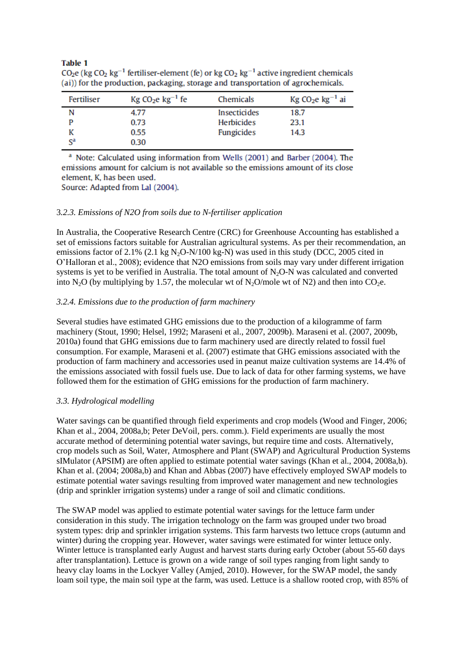#### **Table 1**

| Fertiliser                | $Kg$ CO <sub>2</sub> e $kg^{-1}$ fe | Chemicals           | $Kg$ CO <sub>2</sub> e $kg^{-1}$ ai |
|---------------------------|-------------------------------------|---------------------|-------------------------------------|
| N                         | 4.77                                | <b>Insecticides</b> | 18.7                                |
|                           | 0.73                                | <b>Herbicides</b>   | 23.1                                |
|                           | 0.55                                | <b>Fungicides</b>   | 14.3                                |
| $\mathrm{S}^{\mathrm{a}}$ | 0.30                                |                     |                                     |

CO<sub>2</sub>e (kg CO<sub>2</sub> kg<sup>-1</sup> fertiliser-element (fe) or kg CO<sub>2</sub> kg<sup>-1</sup> active ingredient chemicals (ai)) for the production, packaging, storage and transportation of agrochemicals.

<sup>a</sup> Note: Calculated using information from Wells (2001) and Barber (2004). The emissions amount for calcium is not available so the emissions amount of its close element, K, has been used.

Source: Adapted from Lal (2004).

#### 3*.2.3. Emissions of N2O from soils due to N-fertiliser application*

In Australia, the Cooperative Research Centre (CRC) for Greenhouse Accounting has established a set of emissions factors suitable for Australian agricultural systems. As per their recommendation, an emissions factor of 2.1% (2.1 kg  $N_2O-N/100$  kg-N) was used in this study (DCC, 2005 cited in O'Halloran et al., 2008); evidence that N2O emissions from soils may vary under different irrigation systems is yet to be verified in Australia. The total amount of  $N<sub>2</sub>O-N$  was calculated and converted into N<sub>2</sub>O (by multiplying by 1.57, the molecular wt of N<sub>2</sub>O/mole wt of N<sub>2</sub>) and then into CO<sub>2</sub>e.

## *3.2.4. Emissions due to the production of farm machinery*

Several studies have estimated GHG emissions due to the production of a kilogramme of farm machinery (Stout, 1990; Helsel, 1992; Maraseni et al., 2007, 2009b). Maraseni et al. (2007, 2009b, 2010a) found that GHG emissions due to farm machinery used are directly related to fossil fuel consumption. For example, Maraseni et al. (2007) estimate that GHG emissions associated with the production of farm machinery and accessories used in peanut maize cultivation systems are 14.4% of the emissions associated with fossil fuels use. Due to lack of data for other farming systems, we have followed them for the estimation of GHG emissions for the production of farm machinery.

#### *3.3. Hydrological modelling*

Water savings can be quantified through field experiments and crop models (Wood and Finger, 2006; Khan et al., 2004, 2008a,b; Peter DeVoil, pers. comm.). Field experiments are usually the most accurate method of determining potential water savings, but require time and costs. Alternatively, crop models such as Soil, Water, Atmosphere and Plant (SWAP) and Agricultural Production Systems sIMulator (APSIM) are often applied to estimate potential water savings (Khan et al., 2004, 2008a,b). Khan et al. (2004; 2008a,b) and Khan and Abbas (2007) have effectively employed SWAP models to estimate potential water savings resulting from improved water management and new technologies (drip and sprinkler irrigation systems) under a range of soil and climatic conditions.

The SWAP model was applied to estimate potential water savings for the lettuce farm under consideration in this study. The irrigation technology on the farm was grouped under two broad system types: drip and sprinkler irrigation systems. This farm harvests two lettuce crops (autumn and winter) during the cropping year. However, water savings were estimated for winter lettuce only. Winter lettuce is transplanted early August and harvest starts during early October (about 55-60 days after transplantation). Lettuce is grown on a wide range of soil types ranging from light sandy to heavy clay loams in the Lockyer Valley (Amjed, 2010). However, for the SWAP model, the sandy loam soil type, the main soil type at the farm, was used. Lettuce is a shallow rooted crop, with 85% of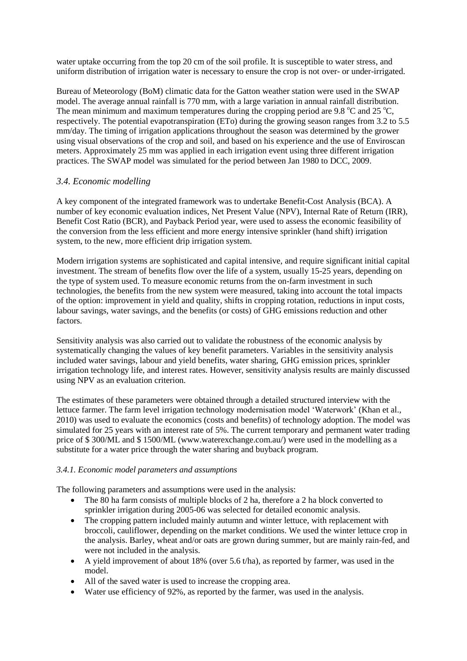water uptake occurring from the top 20 cm of the soil profile. It is susceptible to water stress, and uniform distribution of irrigation water is necessary to ensure the crop is not over- or under-irrigated.

Bureau of Meteorology (BoM) climatic data for the Gatton weather station were used in the SWAP model. The average annual rainfall is 770 mm, with a large variation in annual rainfall distribution. The mean minimum and maximum temperatures during the cropping period are 9.8  $^{\circ}$ C and 25  $^{\circ}$ C, respectively. The potential evapotranspiration (ETo) during the growing season ranges from 3.2 to 5.5 mm/day. The timing of irrigation applications throughout the season was determined by the grower using visual observations of the crop and soil, and based on his experience and the use of Enviroscan meters. Approximately 25 mm was applied in each irrigation event using three different irrigation practices. The SWAP model was simulated for the period between Jan 1980 to DCC, 2009.

## *3.4. Economic modelling*

A key component of the integrated framework was to undertake Benefit-Cost Analysis (BCA). A number of key economic evaluation indices, Net Present Value (NPV), Internal Rate of Return (IRR), Benefit Cost Ratio (BCR), and Payback Period year, were used to assess the economic feasibility of the conversion from the less efficient and more energy intensive sprinkler (hand shift) irrigation system, to the new, more efficient drip irrigation system.

Modern irrigation systems are sophisticated and capital intensive, and require significant initial capital investment. The stream of benefits flow over the life of a system, usually 15-25 years, depending on the type of system used. To measure economic returns from the on-farm investment in such technologies, the benefits from the new system were measured, taking into account the total impacts of the option: improvement in yield and quality, shifts in cropping rotation, reductions in input costs, labour savings, water savings, and the benefits (or costs) of GHG emissions reduction and other factors.

Sensitivity analysis was also carried out to validate the robustness of the economic analysis by systematically changing the values of key benefit parameters. Variables in the sensitivity analysis included water savings, labour and yield benefits, water sharing, GHG emission prices, sprinkler irrigation technology life, and interest rates. However, sensitivity analysis results are mainly discussed using NPV as an evaluation criterion.

The estimates of these parameters were obtained through a detailed structured interview with the lettuce farmer. The farm level irrigation technology modernisation model 'Waterwork' (Khan et al., 2010) was used to evaluate the economics (costs and benefits) of technology adoption. The model was simulated for 25 years with an interest rate of 5%. The current temporary and permanent water trading price of \$ 300/ML and \$ 1500/ML (www.waterexchange.com.au/) were used in the modelling as a substitute for a water price through the water sharing and buyback program.

#### *3.4.1. Economic model parameters and assumptions*

The following parameters and assumptions were used in the analysis:

- The 80 ha farm consists of multiple blocks of 2 ha, therefore a 2 ha block converted to sprinkler irrigation during 2005-06 was selected for detailed economic analysis.
- The cropping pattern included mainly autumn and winter lettuce, with replacement with broccoli, cauliflower, depending on the market conditions. We used the winter lettuce crop in the analysis. Barley, wheat and/or oats are grown during summer, but are mainly rain-fed, and were not included in the analysis.
- A yield improvement of about 18% (over 5.6 t/ha), as reported by farmer, was used in the model.
- All of the saved water is used to increase the cropping area.
- Water use efficiency of 92%, as reported by the farmer, was used in the analysis.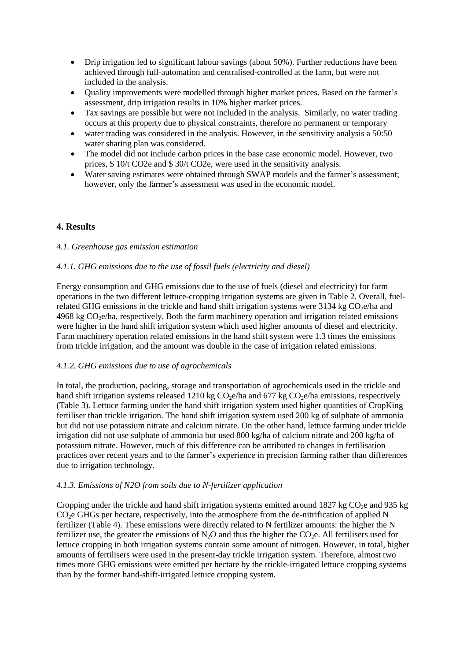- Drip irrigation led to significant labour savings (about 50%). Further reductions have been achieved through full-automation and centralised-controlled at the farm, but were not included in the analysis.
- Quality improvements were modelled through higher market prices. Based on the farmer's assessment, drip irrigation results in 10% higher market prices.
- Tax savings are possible but were not included in the analysis. Similarly, no water trading occurs at this property due to physical constraints, therefore no permanent or temporary
- water trading was considered in the analysis. However, in the sensitivity analysis a 50:50 water sharing plan was considered.
- The model did not include carbon prices in the base case economic model. However, two prices, \$ 10/t CO2e and \$ 30/t CO2e, were used in the sensitivity analysis.
- Water saving estimates were obtained through SWAP models and the farmer's assessment; however, only the farmer's assessment was used in the economic model.

# **4. Results**

## *4.1. Greenhouse gas emission estimation*

## *4.1.1. GHG emissions due to the use of fossil fuels (electricity and diesel)*

Energy consumption and GHG emissions due to the use of fuels (diesel and electricity) for farm operations in the two different lettuce-cropping irrigation systems are given in Table 2. Overall, fuelrelated GHG emissions in the trickle and hand shift irrigation systems were  $3134 \text{ kg CO}_2$ e/ha and  $4968 \text{ kg CO}_2$ e/ha, respectively. Both the farm machinery operation and irrigation related emissions were higher in the hand shift irrigation system which used higher amounts of diesel and electricity. Farm machinery operation related emissions in the hand shift system were 1.3 times the emissions from trickle irrigation, and the amount was double in the case of irrigation related emissions.

#### *4.1.2. GHG emissions due to use of agrochemicals*

In total, the production, packing, storage and transportation of agrochemicals used in the trickle and hand shift irrigation systems released 1210 kg  $CO<sub>2</sub>e/ha$  and 677 kg  $CO<sub>2</sub>e/ha$  emissions, respectively (Table 3). Lettuce farming under the hand shift irrigation system used higher quantities of CropKing fertiliser than trickle irrigation. The hand shift irrigation system used 200 kg of sulphate of ammonia but did not use potassium nitrate and calcium nitrate. On the other hand, lettuce farming under trickle irrigation did not use sulphate of ammonia but used 800 kg/ha of calcium nitrate and 200 kg/ha of potassium nitrate. However, much of this difference can be attributed to changes in fertilisation practices over recent years and to the farmer's experience in precision farming rather than differences due to irrigation technology.

#### *4.1.3. Emissions of N2O from soils due to N-fertilizer application*

Cropping under the trickle and hand shift irrigation systems emitted around 1827 kg  $CO<sub>2</sub>e$  and 935 kg  $CO<sub>2</sub>e$  GHGs per hectare, respectively, into the atmosphere from the de-nitrification of applied N fertilizer (Table 4). These emissions were directly related to N fertilizer amounts: the higher the N fertilizer use, the greater the emissions of  $N_2O$  and thus the higher the  $CO_2e$ . All fertilisers used for lettuce cropping in both irrigation systems contain some amount of nitrogen. However, in total, higher amounts of fertilisers were used in the present-day trickle irrigation system. Therefore, almost two times more GHG emissions were emitted per hectare by the trickle-irrigated lettuce cropping systems than by the former hand-shift-irrigated lettuce cropping system.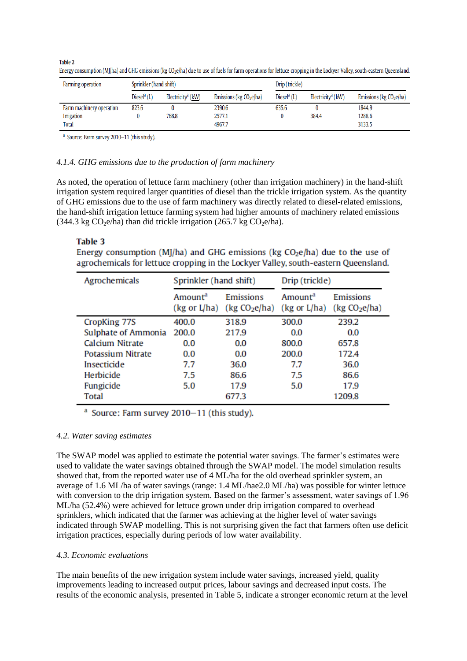| Farming operation        | Sprinkler (hand shift)    |                               | Drip (trickle)             |                           |                                   |                            |
|--------------------------|---------------------------|-------------------------------|----------------------------|---------------------------|-----------------------------------|----------------------------|
|                          | Diesel <sup>a</sup> $(L)$ | Electricity <sup>a</sup> (kW) | Emissions ( $kg CO2e/ha$ ) | Diesel <sup>a</sup> $(L)$ | Electricity <sup>a</sup> ( $kW$ ) | Emissions ( $kg CO2e/ha$ ) |
| Farm machinery operation | 823.6                     |                               | 2390.6                     | 635.6                     |                                   | 1844.9                     |
| Irrigation               |                           | 768.8                         | 2577.1                     |                           | 384.4                             | 1288.6                     |
| <b>Total</b>             |                           |                               | 4967.7                     |                           |                                   | 3133.5                     |

**Table 2** Energy consumption (MJ/ha) and GHG emissions (kg CO<sub>2</sub>e/ha) due to use of fuels for farm operations for lettuce cropping in the Lockyer Valley, south-eastern Queensland.

<sup>a</sup> Source: Farm survey 2010-11 (this study).

#### *4.1.4. GHG emissions due to the production of farm machinery*

As noted, the operation of lettuce farm machinery (other than irrigation machinery) in the hand-shift irrigation system required larger quantities of diesel than the trickle irrigation system. As the quantity of GHG emissions due to the use of farm machinery was directly related to diesel-related emissions, the hand-shift irrigation lettuce farming system had higher amounts of machinery related emissions  $(344.3 \text{ kg CO}_2)$ e/ha) than did trickle irrigation  $(265.7 \text{ kg CO}_2)$ e/ha).

## **Table 3**

Energy consumption (MJ/ha) and GHG emissions ( $kg CO<sub>2</sub>e/ha$ ) due to the use of agrochemicals for lettuce cropping in the Lockver Valley, south-eastern Oueensland.

| Agrochemicals       | Sprinkler (hand shift)              |                                               | Drip (trickle)                                 |                                        |
|---------------------|-------------------------------------|-----------------------------------------------|------------------------------------------------|----------------------------------------|
|                     | Amount <sup>a</sup><br>(kg or L/ha) | <b>Emissions</b><br>(kg CO <sub>2</sub> e/ha) | Amount <sup>a</sup><br>$(kg \text{ or } L/ha)$ | Emissions<br>(kg CO <sub>2</sub> e/ha) |
| CropKing 77S        | 400.0                               | 318.9                                         | 300.0                                          | 239.2                                  |
| Sulphate of Ammonia | 200.0                               | 217.9                                         | 0.0                                            | 0.0                                    |
| Calcium Nitrate     | 0.0                                 | 0.0                                           | 800.0                                          | 657.8                                  |
| Potassium Nitrate   | 0.0                                 | 0.0                                           | 200.0                                          | 172.4                                  |
| Insecticide         | 7.7                                 | 36.0                                          | 7.7                                            | 36.0                                   |
| Herbicide           | 7.5                                 | 86.6                                          | 7.5                                            | 86.6                                   |
| Fungicide           | 5.0                                 | 17.9                                          | 5.0                                            | 17.9                                   |
| <b>Total</b>        |                                     | 677.3                                         |                                                | 1209.8                                 |

<sup>a</sup> Source: Farm survey 2010-11 (this study).

#### *4.2. Water saving estimates*

The SWAP model was applied to estimate the potential water savings. The farmer's estimates were used to validate the water savings obtained through the SWAP model. The model simulation results showed that, from the reported water use of 4 ML/ha for the old overhead sprinkler system, an average of 1.6 ML/ha of water savings (range: 1.4 ML/hae2.0 ML/ha) was possible for winter lettuce with conversion to the drip irrigation system. Based on the farmer's assessment, water savings of 1.96 ML/ha (52.4%) were achieved for lettuce grown under drip irrigation compared to overhead sprinklers, which indicated that the farmer was achieving at the higher level of water savings indicated through SWAP modelling. This is not surprising given the fact that farmers often use deficit irrigation practices, especially during periods of low water availability.

#### *4.3. Economic evaluations*

The main benefits of the new irrigation system include water savings, increased yield, quality improvements leading to increased output prices, labour savings and decreased input costs. The results of the economic analysis, presented in Table 5, indicate a stronger economic return at the level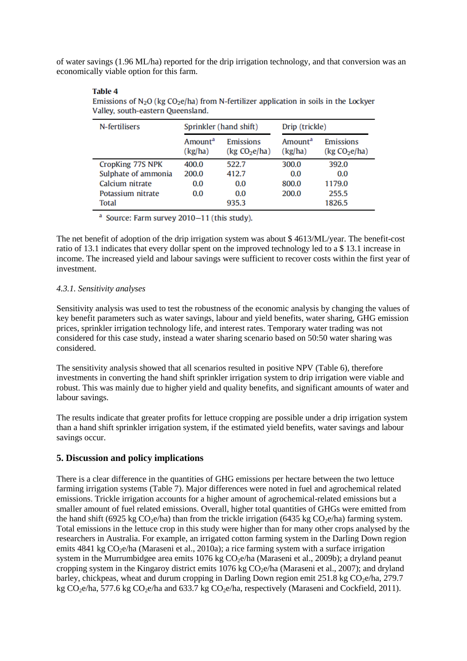of water savings (1.96 ML/ha) reported for the drip irrigation technology, and that conversion was an economically viable option for this farm.

| N-fertilisers       | Sprinkler (hand shift)         |                                        | Drip (trickle)                 |                                        |
|---------------------|--------------------------------|----------------------------------------|--------------------------------|----------------------------------------|
|                     | Amount <sup>a</sup><br>(kg/ha) | Emissions<br>(kg CO <sub>2</sub> e/ha) | Amount <sup>a</sup><br>(kg/ha) | Emissions<br>(kg CO <sub>2</sub> e/ha) |
| CropKing 77S NPK    | 400.0                          | 522.7                                  | 300.0                          | 392.0                                  |
| Sulphate of ammonia | 200.0                          | 412.7                                  | 0.0                            | 0.0                                    |
| Calcium nitrate     | 0.0                            | 0.0                                    | 800.0                          | 1179.0                                 |
| Potassium nitrate   | 0.0                            | 0.0                                    | 200.0                          | 255.5                                  |
| <b>Total</b>        |                                | 935.3                                  |                                | 1826.5                                 |

Emissions of  $N_2O$  (kg CO<sub>2</sub>e/ha) from N-fertilizer application in soils in the Lockver Valley, south-eastern Queensland.

<sup>a</sup> Source: Farm survey 2010-11 (this study).

The net benefit of adoption of the drip irrigation system was about \$ 4613/ML/year. The benefit-cost ratio of 13.1 indicates that every dollar spent on the improved technology led to a \$ 13.1 increase in income. The increased yield and labour savings were sufficient to recover costs within the first year of investment.

## *4.3.1. Sensitivity analyses*

**Table 4** 

Sensitivity analysis was used to test the robustness of the economic analysis by changing the values of key benefit parameters such as water savings, labour and yield benefits, water sharing, GHG emission prices, sprinkler irrigation technology life, and interest rates. Temporary water trading was not considered for this case study, instead a water sharing scenario based on 50:50 water sharing was considered.

The sensitivity analysis showed that all scenarios resulted in positive NPV (Table 6), therefore investments in converting the hand shift sprinkler irrigation system to drip irrigation were viable and robust. This was mainly due to higher yield and quality benefits, and significant amounts of water and labour savings.

The results indicate that greater profits for lettuce cropping are possible under a drip irrigation system than a hand shift sprinkler irrigation system, if the estimated yield benefits, water savings and labour savings occur.

## **5. Discussion and policy implications**

There is a clear difference in the quantities of GHG emissions per hectare between the two lettuce farming irrigation systems (Table 7). Major differences were noted in fuel and agrochemical related emissions. Trickle irrigation accounts for a higher amount of agrochemical-related emissions but a smaller amount of fuel related emissions. Overall, higher total quantities of GHGs were emitted from the hand shift (6925 kg  $CO<sub>2</sub>e/ha$ ) than from the trickle irrigation (6435 kg  $CO<sub>2</sub>e/ha$ ) farming system. Total emissions in the lettuce crop in this study were higher than for many other crops analysed by the researchers in Australia. For example, an irrigated cotton farming system in the Darling Down region emits  $4841 \text{ kg CO}_2$ e/ha (Maraseni et al., 2010a); a rice farming system with a surface irrigation system in the Murrumbidgee area emits  $1076 \text{ kg CO}_2$ e/ha (Maraseni et al., 2009b); a dryland peanut cropping system in the Kingaroy district emits  $1076 \text{ kg CO}_2$ e/ha (Maraseni et al., 2007); and dryland barley, chickpeas, wheat and durum cropping in Darling Down region emit 251.8 kg  $CO<sub>2</sub>e/ha$ , 279.7 kg  $CO<sub>2</sub>e/ha$ , 577.6 kg  $CO<sub>2</sub>e/ha$  and 633.7 kg  $CO<sub>2</sub>e/ha$ , respectively (Maraseni and Cockfield, 2011).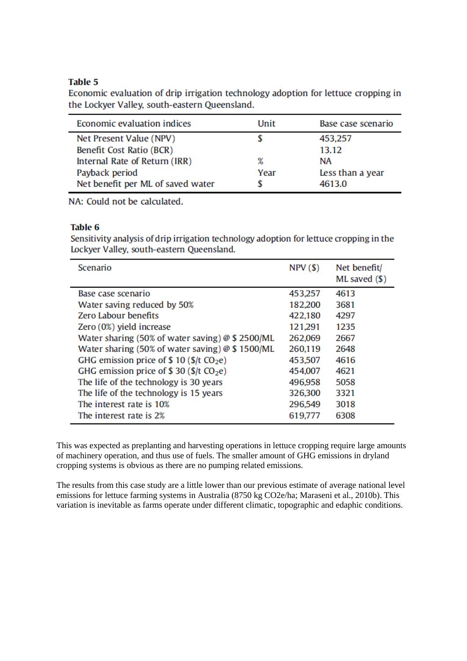## **Table 5**

Economic evaluation of drip irrigation technology adoption for lettuce cropping in the Lockyer Valley, south-eastern Queensland.

| Economic evaluation indices       | Unit | Base case scenario |
|-----------------------------------|------|--------------------|
| Net Present Value (NPV)           |      | 453,257            |
| Benefit Cost Ratio (BCR)          |      | 13.12              |
| Internal Rate of Return (IRR)     | ℁    | <b>NA</b>          |
| Payback period                    | Year | Less than a year   |
| Net benefit per ML of saved water |      | 4613.0             |

NA: Could not be calculated.

## Table 6

Sensitivity analysis of drip irrigation technology adoption for lettuce cropping in the Lockyer Valley, south-eastern Queensland.

| Scenario                                           | $NPV($ \$) | Net benefit/<br>$ML$ saved $(S)$ |
|----------------------------------------------------|------------|----------------------------------|
| Base case scenario                                 | 453,257    | 4613                             |
| Water saving reduced by 50%                        | 182,200    | 3681                             |
| Zero Labour benefits                               | 422,180    | 4297                             |
| Zero (0%) yield increase                           | 121,291    | 1235                             |
| Water sharing (50% of water saving) $@$ \$ 2500/ML | 262,069    | 2667                             |
| Water sharing (50% of water saving) $@$ \$ 1500/ML | 260,119    | 2648                             |
| GHG emission price of $$10 ($/t CO2e)$             | 453,507    | 4616                             |
| GHG emission price of \$30 ( $f/cO2e$ )            | 454,007    | 4621                             |
| The life of the technology is 30 years             | 496,958    | 5058                             |
| The life of the technology is 15 years             | 326,300    | 3321                             |
| The interest rate is 10%                           | 296,549    | 3018                             |
| The interest rate is 2%                            | 619,777    | 6308                             |

This was expected as preplanting and harvesting operations in lettuce cropping require large amounts of machinery operation, and thus use of fuels. The smaller amount of GHG emissions in dryland cropping systems is obvious as there are no pumping related emissions.

The results from this case study are a little lower than our previous estimate of average national level emissions for lettuce farming systems in Australia (8750 kg CO2e/ha; Maraseni et al., 2010b). This variation is inevitable as farms operate under different climatic, topographic and edaphic conditions.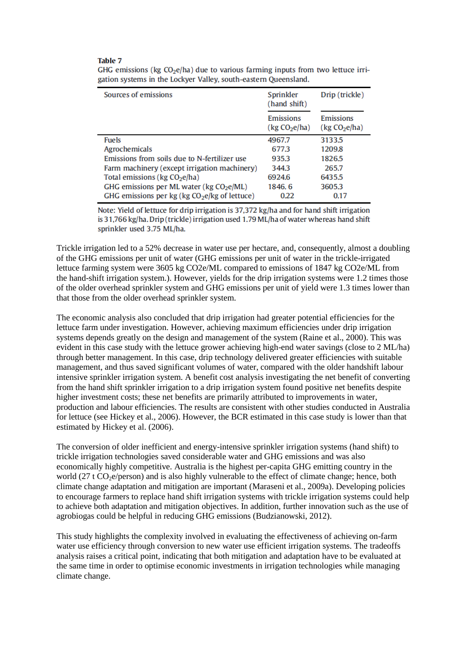#### **Table 7**

| Sources of emissions                                 | Sprinkler<br>(hand shift)              | Drip (trickle)                         |  |
|------------------------------------------------------|----------------------------------------|----------------------------------------|--|
|                                                      | Emissions<br>(kg CO <sub>2</sub> e/ha) | Emissions<br>(kg CO <sub>2</sub> e/ha) |  |
| Fuels                                                | 4967.7                                 | 3133.5                                 |  |
| Agrochemicals                                        | 677.3                                  | 1209.8                                 |  |
| Emissions from soils due to N-fertilizer use         | 935.3                                  | 1826.5                                 |  |
| Farm machinery (except irrigation machinery)         | 344.3                                  | 265.7                                  |  |
| Total emissions ( $kg CO2e/ha$ )                     | 6924.6                                 | 6435.5                                 |  |
| GHG emissions per ML water (kg CO <sub>2</sub> e/ML) | 1846.6                                 | 3605.3                                 |  |
| GHG emissions per $kg (kg CO2e/kg of letture)$       | 0.22                                   | 0.17                                   |  |

GHG emissions ( $kg CO<sub>2</sub>e/ha$ ) due to various farming inputs from two lettuce irrigation systems in the Lockyer Valley, south-eastern Queensland.

Note: Yield of lettuce for drip irrigation is 37,372 kg/ha and for hand shift irrigation is 31,766 kg/ha. Drip (trickle) irrigation used 1.79 ML/ha of water whereas hand shift sprinkler used 3.75 ML/ha.

Trickle irrigation led to a 52% decrease in water use per hectare, and, consequently, almost a doubling of the GHG emissions per unit of water (GHG emissions per unit of water in the trickle-irrigated lettuce farming system were 3605 kg CO2e/ML compared to emissions of 1847 kg CO2e/ML from the hand-shift irrigation system.). However, yields for the drip irrigation systems were 1.2 times those of the older overhead sprinkler system and GHG emissions per unit of yield were 1.3 times lower than that those from the older overhead sprinkler system.

The economic analysis also concluded that drip irrigation had greater potential efficiencies for the lettuce farm under investigation. However, achieving maximum efficiencies under drip irrigation systems depends greatly on the design and management of the system (Raine et al., 2000). This was evident in this case study with the lettuce grower achieving high-end water savings (close to 2 ML/ha) through better management. In this case, drip technology delivered greater efficiencies with suitable management, and thus saved significant volumes of water, compared with the older handshift labour intensive sprinkler irrigation system. A benefit cost analysis investigating the net benefit of converting from the hand shift sprinkler irrigation to a drip irrigation system found positive net benefits despite higher investment costs; these net benefits are primarily attributed to improvements in water, production and labour efficiencies. The results are consistent with other studies conducted in Australia for lettuce (see Hickey et al., 2006). However, the BCR estimated in this case study is lower than that estimated by Hickey et al. (2006).

The conversion of older inefficient and energy-intensive sprinkler irrigation systems (hand shift) to trickle irrigation technologies saved considerable water and GHG emissions and was also economically highly competitive. Australia is the highest per-capita GHG emitting country in the world (27 t  $CO<sub>2</sub>e$ /person) and is also highly vulnerable to the effect of climate change; hence, bothclimate change adaptation and mitigation are important (Maraseni et al., 2009a). Developing policies to encourage farmers to replace hand shift irrigation systems with trickle irrigation systems could help to achieve both adaptation and mitigation objectives. In addition, further innovation such as the use of agrobiogas could be helpful in reducing GHG emissions (Budzianowski, 2012).

This study highlights the complexity involved in evaluating the effectiveness of achieving on-farm water use efficiency through conversion to new water use efficient irrigation systems. The tradeoffs analysis raises a critical point, indicating that both mitigation and adaptation have to be evaluated at the same time in order to optimise economic investments in irrigation technologies while managing climate change.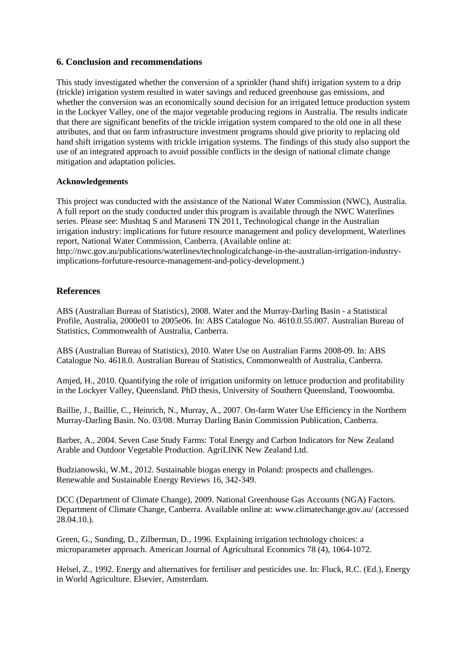## **6. Conclusion and recommendations**

This study investigated whether the conversion of a sprinkler (hand shift) irrigation system to a drip (trickle) irrigation system resulted in water savings and reduced greenhouse gas emissions, and whether the conversion was an economically sound decision for an irrigated lettuce production system in the Lockyer Valley, one of the major vegetable producing regions in Australia. The results indicate that there are significant benefits of the trickle irrigation system compared to the old one in all these attributes, and that on farm infrastructure investment programs should give priority to replacing old hand shift irrigation systems with trickle irrigation systems. The findings of this study also support the use of an integrated approach to avoid possible conflicts in the design of national climate change mitigation and adaptation policies.

#### **Acknowledgements**

This project was conducted with the assistance of the National Water Commission (NWC), Australia. A full report on the study conducted under this program is available through the NWC Waterlines series. Please see: Mushtaq S and Maraseni TN 2011, Technological change in the Australian irrigation industry: implications for future resource management and policy development, Waterlines report, National Water Commission, Canberra. (Available online at: http://nwc.gov.au/publications/waterlines/technologicalchange-in-the-australian-irrigation-industryimplications-forfuture-resource-management-and-policy-development.)

## **References**

ABS (Australian Bureau of Statistics), 2008. Water and the Murray-Darling Basin - a Statistical Profile, Australia, 2000e01 to 2005e06. In: ABS Catalogue No. 4610.0.55.007. Australian Bureau of Statistics, Commonwealth of Australia, Canberra.

ABS (Australian Bureau of Statistics), 2010. Water Use on Australian Farms 2008-09. In: ABS Catalogue No. 4618.0. Australian Bureau of Statistics, Commonwealth of Australia, Canberra.

Amjed, H., 2010. Quantifying the role of irrigation uniformity on lettuce production and profitability in the Lockyer Valley, Queensland. PhD thesis, University of Southern Queensland, Toowoomba.

Baillie, J., Baillie, C., Heinrich, N., Murray, A., 2007. On-farm Water Use Efficiency in the Northern Murray-Darling Basin. No. 03/08. Murray Darling Basin Commission Publication, Canberra.

Barber, A., 2004. Seven Case Study Farms: Total Energy and Carbon Indicators for New Zealand Arable and Outdoor Vegetable Production. AgriLINK New Zealand Ltd.

Budzianowski, W.M., 2012. Sustainable biogas energy in Poland: prospects and challenges. Renewable and Sustainable Energy Reviews 16, 342-349.

DCC (Department of Climate Change), 2009. National Greenhouse Gas Accounts (NGA) Factors. Department of Climate Change, Canberra. Available online at: www.climatechange.gov.au/ (accessed 28.04.10.).

Green, G., Sunding, D., Zilberman, D., 1996. Explaining irrigation technology choices: a microparameter approach. American Journal of Agricultural Economics 78 (4), 1064-1072.

Helsel, Z., 1992. Energy and alternatives for fertiliser and pesticides use. In: Fluck, R.C. (Ed.), Energy in World Agriculture. Elsevier, Amsterdam.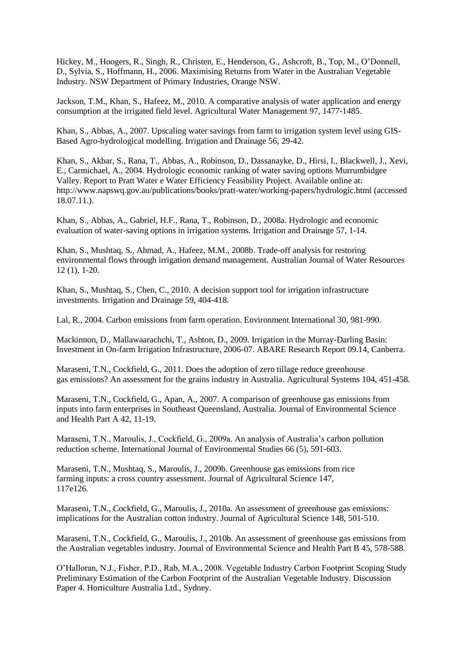Hickey, M., Hoogers, R., Singh, R., Christen, E., Henderson, G., Ashcroft, B., Top, M., O'Donnell, D., Sylvia, S., Hoffmann, H., 2006. Maximising Returns from Water in the Australian Vegetable Industry. NSW Department of Primary Industries, Orange NSW.

Jackson, T.M., Khan, S., Hafeez, M., 2010. A comparative analysis of water application and energy consumption at the irrigated field level. Agricultural Water Management 97, 1477-1485.

Khan, S., Abbas, A., 2007. Upscaling water savings from farm to irrigation system level using GIS-Based Agro-hydrological modelling. Irrigation and Drainage 56, 29-42.

Khan, S., Akbar, S., Rana, T., Abbas, A., Robinson, D., Dassanayke, D., Hirsi, I., Blackwell, J., Xevi, E., Carmichael, A., 2004. Hydrologic economic ranking of water saving options Murrumbidgee Valley. Report to Pratt Water e Water Efficiency Feasibility Project. Available online at: http://www.napswq.gov.au/publications/books/pratt-water/working-papers/hydrologic.html (accessed 18.07.11.).

Khan, S., Abbas, A., Gabriel, H.F., Rana, T., Robinson, D., 2008a. Hydrologic and economic evaluation of water-saving options in irrigation systems. Irrigation and Drainage 57, 1-14.

Khan, S., Mushtaq, S., Ahmad, A., Hafeez, M.M., 2008b. Trade-off analysis for restoring environmental flows through irrigation demand management. Australian Journal of Water Resources 12 (1), 1-20.

Khan, S., Mushtaq, S., Chen, C., 2010. A decision support tool for irrigation infrastructure investments. Irrigation and Drainage 59, 404-418.

Lal, R., 2004. Carbon emissions from farm operation. Environment International 30, 981-990.

Mackinnon, D., Mallawaarachchi, T., Ashton, D., 2009. Irrigation in the Murray-Darling Basin: Investment in On-farm Irrigation Infrastructure, 2006-07. ABARE Research Report 09.14, Canberra.

Maraseni, T.N., Cockfield, G., 2011. Does the adoption of zero tillage reduce greenhouse gas emissions? An assessment for the grains industry in Australia. Agricultural Systems 104, 451-458.

Maraseni, T.N., Cockfield, G., Apan, A., 2007. A comparison of greenhouse gas emissions from inputs into farm enterprises in Southeast Queensland, Australia. Journal of Environmental Science and Health Part A 42, 11-19.

Maraseni, T.N., Maroulis, J., Cockfield, G., 2009a. An analysis of Australia's carbon pollution reduction scheme. International Journal of Environmental Studies 66 (5), 591-603.

Maraseni, T.N., Mushtaq, S., Maroulis, J., 2009b. Greenhouse gas emissions from rice farming inputs: a cross country assessment. Journal of Agricultural Science 147, 117e126.

Maraseni, T.N., Cockfield, G., Maroulis, J., 2010a. An assessment of greenhouse gas emissions: implications for the Australian cotton industry. Journal of Agricultural Science 148, 501-510.

Maraseni, T.N., Cockfield, G., Maroulis, J., 2010b. An assessment of greenhouse gas emissions from the Australian vegetables industry. Journal of Environmental Science and Health Part B 45, 578-588.

O'Halloran, N.J., Fisher, P.D., Rab, M.A., 2008. Vegetable Industry Carbon Footprint Scoping Study Preliminary Estimation of the Carbon Footprint of the Australian Vegetable Industry. Discussion Paper 4. Horticulture Australia Ltd., Sydney.